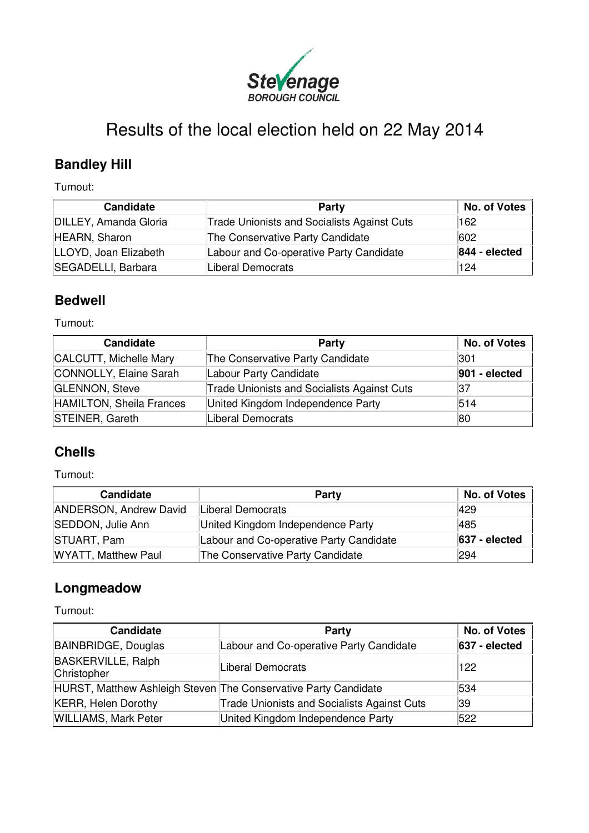

# Results of the local election held on 22 May 2014

### **Bandley Hill**

Turnout:

| Candidate             | Party                                              | <b>No. of Votes</b> |
|-----------------------|----------------------------------------------------|---------------------|
| DILLEY, Amanda Gloria | <b>Trade Unionists and Socialists Against Cuts</b> | 162                 |
| HEARN, Sharon         | The Conservative Party Candidate                   | 602                 |
| LLOYD, Joan Elizabeth | Labour and Co-operative Party Candidate            | 844 - elected       |
| SEGADELLI, Barbara    | Liberal Democrats                                  | 124                 |

#### **Bedwell**

Turnout:

| <b>Candidate</b>         | Party                                              | No. of Votes  |
|--------------------------|----------------------------------------------------|---------------|
| CALCUTT, Michelle Mary   | The Conservative Party Candidate                   | 301           |
| CONNOLLY, Elaine Sarah   | Labour Party Candidate                             | 901 - elected |
| <b>GLENNON, Steve</b>    | <b>Trade Unionists and Socialists Against Cuts</b> | 37            |
| HAMILTON, Sheila Frances | United Kingdom Independence Party                  | 514           |
| STEINER, Gareth          | Liberal Democrats                                  | 80            |

### **Chells**

Turnout:

| <b>Candidate</b>              | Party                                   | No. of Votes  |
|-------------------------------|-----------------------------------------|---------------|
| <b>ANDERSON, Andrew David</b> | Liberal Democrats                       | 1429          |
| SEDDON, Julie Ann             | United Kingdom Independence Party       | 1485          |
| STUART, Pam                   | Labour and Co-operative Party Candidate | 637 - elected |
| <b>WYATT, Matthew Paul</b>    | The Conservative Party Candidate        | 294           |

#### **Longmeadow**

Turnout:

| <b>Candidate</b>                                                | Party                                              | No. of Votes    |
|-----------------------------------------------------------------|----------------------------------------------------|-----------------|
| BAINBRIDGE, Douglas                                             | Labour and Co-operative Party Candidate            | $637 - elected$ |
| <b>BASKERVILLE, Ralph</b><br>Christopher                        | <b>Liberal Democrats</b>                           | 122             |
| HURST, Matthew Ashleigh Steven The Conservative Party Candidate |                                                    | 534             |
| <b>KERR, Helen Dorothy</b>                                      | <b>Trade Unionists and Socialists Against Cuts</b> | 39              |
| <b>WILLIAMS, Mark Peter</b>                                     | United Kingdom Independence Party                  | 522             |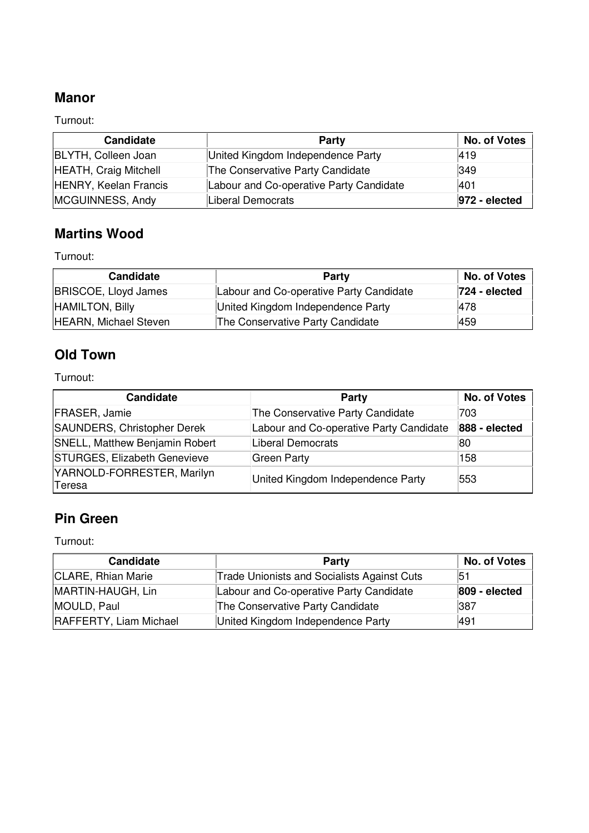### **Manor**

Turnout:

| <b>Candidate</b>             | Party                                   | No. of Votes     |
|------------------------------|-----------------------------------------|------------------|
| <b>BLYTH, Colleen Joan</b>   | United Kingdom Independence Party       | 1419             |
| <b>HEATH, Craig Mitchell</b> | The Conservative Party Candidate        | 349              |
| <b>HENRY, Keelan Francis</b> | Labour and Co-operative Party Candidate | 1401             |
| MCGUINNESS, Andy             | Liberal Democrats                       | $ 972 - \theta $ |

#### **Martins Wood**

Turnout:

| <b>Candidate</b>             | Party                                   | No. of Votes     |
|------------------------------|-----------------------------------------|------------------|
| <b>BRISCOE, Lloyd James</b>  | Labour and Co-operative Party Candidate | $ 724 - \theta $ |
| HAMILTON, Billy              | United Kingdom Independence Party       | 1478             |
| <b>HEARN, Michael Steven</b> | The Conservative Party Candidate        | 459              |

### **Old Town**

Turnout:

| <b>Candidate</b>                     | Party                                   | No. of Votes  |
|--------------------------------------|-----------------------------------------|---------------|
| <b>FRASER, Jamie</b>                 | The Conservative Party Candidate        | 703           |
| SAUNDERS, Christopher Derek          | Labour and Co-operative Party Candidate | 888 - elected |
| SNELL, Matthew Benjamin Robert       | Liberal Democrats                       | 80            |
| STURGES, Elizabeth Genevieve         | Green Party                             | 158           |
| YARNOLD-FORRESTER, Marilyn<br>Teresa | United Kingdom Independence Party       | 553           |

### **Pin Green**

Turnout:

| Candidate              | Party                                              | <b>No. of Votes</b> |
|------------------------|----------------------------------------------------|---------------------|
| CLARE, Rhian Marie     | <b>Trade Unionists and Socialists Against Cuts</b> | 51                  |
| MARTIN-HAUGH, Lin      | Labour and Co-operative Party Candidate            | 809 - elected       |
| MOULD, Paul            | The Conservative Party Candidate                   | 387                 |
| RAFFERTY, Liam Michael | United Kingdom Independence Party                  | 1491                |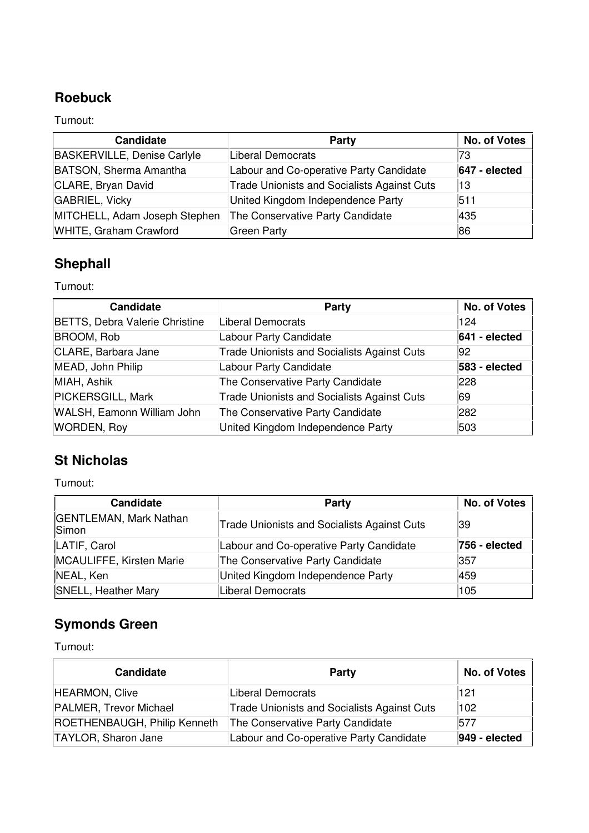### **Roebuck**

Turnout:

| <b>Candidate</b>                   | Party                                              | No. of Votes    |
|------------------------------------|----------------------------------------------------|-----------------|
| <b>BASKERVILLE, Denise Carlyle</b> | <b>Liberal Democrats</b>                           | 73              |
| <b>BATSON, Sherma Amantha</b>      | Labour and Co-operative Party Candidate            | $647 - elected$ |
| CLARE, Bryan David                 | <b>Trade Unionists and Socialists Against Cuts</b> | ∣13             |
| <b>GABRIEL, Vicky</b>              | United Kingdom Independence Party                  | 511             |
| MITCHELL, Adam Joseph Stephen      | The Conservative Party Candidate                   | 1435            |
| WHITE, Graham Crawford             | <b>Green Party</b>                                 | 86              |

## **Shephall**

Turnout:

| <b>Candidate</b>               | <b>Party</b>                                       | No. of Votes  |
|--------------------------------|----------------------------------------------------|---------------|
| BETTS, Debra Valerie Christine | Liberal Democrats                                  | 124           |
| <b>BROOM, Rob</b>              | Labour Party Candidate                             | 641 - elected |
| CLARE, Barbara Jane            | <b>Trade Unionists and Socialists Against Cuts</b> | 92            |
| MEAD, John Philip              | Labour Party Candidate                             | 583 - elected |
| MIAH, Ashik                    | The Conservative Party Candidate                   | 228           |
| <b>PICKERSGILL, Mark</b>       | <b>Trade Unionists and Socialists Against Cuts</b> | 69            |
| WALSH, Eamonn William John     | The Conservative Party Candidate                   | 282           |
| <b>WORDEN, Roy</b>             | United Kingdom Independence Party                  | 503           |

### **St Nicholas**

Turnout:

| <b>Candidate</b>                       | <b>Party</b>                                       | <b>No. of Votes</b> |
|----------------------------------------|----------------------------------------------------|---------------------|
| <b>GENTLEMAN, Mark Nathan</b><br>Simon | <b>Trade Unionists and Socialists Against Cuts</b> | 39                  |
| LATIF, Carol                           | Labour and Co-operative Party Candidate            | 756 - elected       |
| MCAULIFFE, Kirsten Marie               | The Conservative Party Candidate                   | 357                 |
| NEAL, Ken                              | United Kingdom Independence Party                  | 459                 |
| <b>SNELL, Heather Mary</b>             | Liberal Democrats                                  | 105                 |

### **Symonds Green**

Turnout:

| <b>Candidate</b>             | Party                                              | No. of Votes     |
|------------------------------|----------------------------------------------------|------------------|
| HEARMON, Clive               | Liberal Democrats                                  | 121              |
| PALMER, Trevor Michael       | <b>Trade Unionists and Socialists Against Cuts</b> | 102              |
| ROETHENBAUGH, Philip Kenneth | The Conservative Party Candidate                   | 577              |
| TAYLOR, Sharon Jane          | Labour and Co-operative Party Candidate            | $ 949 - \theta $ |

L.